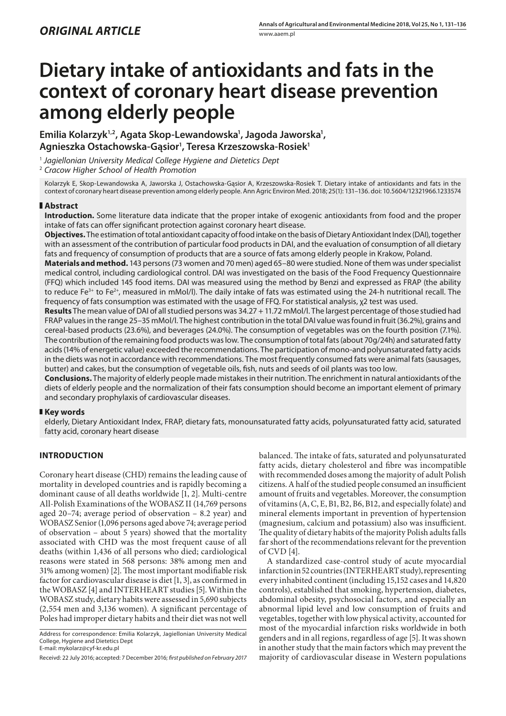# **Dietary intake of antioxidants and fats in the context of coronary heart disease prevention among elderly people**

Emilia Kolarzyk<sup>1,2</sup>, Agata Skop-Lewandowska<sup>1</sup>, Jagoda Jaworska<sup>1</sup>, **Agnieszka Ostachowska-Gąsior1 , Teresa Krzeszowska-Rosiek1**

<sup>1</sup> *Jagiellonian University Medical College Hygiene and Dietetics Dept*

2  *Cracow Higher School of Health Promotion*

Kolarzyk E, Skop-Lewandowska A, Jaworska J, Ostachowska-Gąsior A, Krzeszowska-Rosiek T. Dietary intake of antioxidants and fats in the context of coronary heart disease prevention among elderly people. Ann Agric Environ Med. 2018; 25(1): 131–136. doi: 10.5604/12321966.1233574

# **Abstract**

**Introduction***.* Some literature data indicate that the proper intake of exogenic antioxidants from food and the proper intake of fats can offer significant protection against coronary heart disease.

**Objectives.** The estimation of total antioxidant capacity of food intake on the basis of Dietary Antioxidant Index (DAI), together with an assessment of the contribution of particular food products in DAI, and the evaluation of consumption of all dietary fats and frequency of consumption of products that are a source of fats among elderly people in Krakow, Poland.

**Materials and method.** 143 persons (73 women and 70 men) aged 65–80 were studied. None of them was under specialist medical control, including cardiological control. DAI was investigated on the basis of the Food Frequency Questionnaire (FFQ) which included 145 food items. DAI was measured using the method by Benzi and expressed as FRAP (the ability to reduce Fe $3+$  to Fe $2+$ , measured in mMol/l). The daily intake of fats was estimated using the 24-h nutritional recall. The frequency of fats consumption was estimated with the usage of FFQ. For statistical analysis, χ2 test was used.

**Results** The mean value of DAI of all studied persons was 34.27 + 11.72 mMol/l. The largest percentage of those studied had FRAP values in the range 25–35 mMol/l. The highest contribution in the total DAI value was found in fruit (36.2%), grains and cereal-based products (23.6%), and beverages (24.0%). The consumption of vegetables was on the fourth position (7.1%). The contribution of the remaining food products was low. The consumption of total fats (about 70g/24h) and saturated fatty acids (14% of energetic value) exceeded the recommendations. The participation of mono-and polyunsaturated fatty acids in the diets was not in accordance with recommendations. The most frequently consumed fats were animal fats (sausages, butter) and cakes, but the consumption of vegetable oils, fish, nuts and seeds of oil plants was too low.

**Conclusions.** The majority of elderly people made mistakes in their nutrition. The enrichment in natural antioxidants of the diets of elderly people and the normalization of their fats consumption should become an important element of primary and secondary prophylaxis of cardiovascular diseases.

# **Key words**

elderly, Dietary Antioxidant Index, FRAP, dietary fats, monounsaturated fatty acids, polyunsaturated fatty acid, saturated fatty acid, coronary heart disease

# **INTRODUCTION**

Coronary heart disease (CHD) remains the leading cause of mortality in developed countries and is rapidly becoming a dominant cause of all deaths worldwide [1, 2]. Multi-centre All-Polish Examinations of the WOBASZ II (14,769 persons aged 20–74; average period of observation – 8.2 year) and WOBASZ Senior (1,096 persons aged above 74; average period of observation – about 5 years) showed that the mortality associated with CHD was the most frequent cause of all deaths (within 1,436 of all persons who died; cardiological reasons were stated in 568 persons: 38% among men and 31% among women) [2]. The most important modifiable risk factor for cardiovascular disease is diet [1, 3], as confirmed in the WOBASZ [4] and INTERHEART studies [5]. Within the WOBASZ study, dietary habits were assessed in 5,690 subjects (2,554 men and 3,136 women). A significant percentage of Poles had improper dietary habits and their diet was not well

Address for correspondence: Emilia Kolarzyk, Jagiellonian University Medical College, Hygiene and Dietetics Dept E-mail: mykolarz@cyf-kr.edu.pl

balanced. The intake of fats, saturated and polyunsaturated fatty acids, dietary cholesterol and fibre was incompatible with recommended doses among the majority of adult Polish citizens. A half of the studied people consumed an insufficient amount of fruits and vegetables. Moreover, the consumption of vitamins (A, C, E, B1, B2, B6, B12, and especially folate) and mineral elements important in prevention of hypertension (magnesium, calcium and potassium) also was insufficient. The quality of dietary habits of the majority Polish adults falls far short of the recommendations relevant for the prevention of CVD [4].

A standardized case-control study of acute myocardial infarction in 52 countries (INTERHEART study), representing every inhabited continent (including 15,152 cases and 14,820 controls), established that smoking, hypertension, diabetes, abdominal obesity, psychosocial factors, and especially an abnormal lipid level and low consumption of fruits and vegetables, together with low physical activity, accounted for most of the myocardial infarction risks worldwide in both genders and in all regions, regardless of age [5]. It was shown in another study that the main factors which may prevent the majority of cardiovascular disease in Western populations

Receivd: 22 July 2016; accepted: 7 December 2016; *first published on February 2017*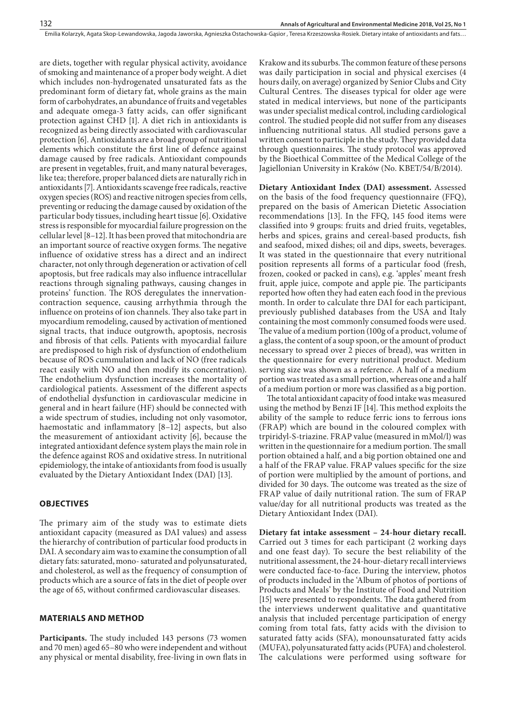are diets, together with regular physical activity, avoidance of smoking and maintenance of a proper body weight. A diet which includes non-hydrogenated unsaturated fats as the predominant form of dietary fat, whole grains as the main form of carbohydrates, an abundance of fruits and vegetables and adequate omega-3 fatty acids, can offer significant protection against CHD [1]. A diet rich in antioxidants is recognized as being directly associated with cardiovascular protection [6]. Antioxidants are a broad group of nutritional elements which constitute the first line of defence against damage caused by free radicals. Antioxidant compounds are present in vegetables, fruit, and many natural beverages, like tea; therefore, proper balanced diets are naturally rich in antioxidants [7]. Antioxidants scavenge free radicals, reactive oxygen species (ROS) and reactive nitrogen species from cells, preventing or reducing the damage caused by oxidation of the particular body tissues, including heart tissue [6]. Oxidative stress is responsible for myocardial failure progression on the cellular level [8–12]. It has been proved that mitochondria are an important source of reactive oxygen forms. The negative influence of oxidative stress has a direct and an indirect character, not only through degeneration or activation of cell apoptosis, but free radicals may also influence intracellular reactions through signaling pathways, causing changes in proteins' function. The ROS deregulates the innervationcontraction sequence, causing arrhythmia through the influence on proteins of ion channels. They also take part in myocardium remodeling, caused by activation of mentioned signal tracts, that induce outgrowth, apoptosis, necrosis and fibrosis of that cells. Patients with myocardial failure are predisposed to high risk of dysfunction of endothelium because of ROS cummulation and lack of NO (free radicals react easily with NO and then modify its concentration). The endothelium dysfunction increases the mortality of cardiological patients. Assessment of the different aspects of endothelial dysfunction in cardiovascular medicine in general and in heart failure (HF) should be connected with a wide spectrum of studies, including not only vasomotor, haemostatic and inflammatory [8–12] aspects, but also the measurement of antioxidant activity [6], because the integrated antioxidant defence system plays the main role in the defence against ROS and oxidative stress. In nutritional epidemiology, the intake of antioxidants from food is usually evaluated by the Dietary Antioxidant Index (DAI) [13].

## **OBJECTIVES**

The primary aim of the study was to estimate diets antioxidant capacity (measured as DAI values) and assess the hierarchy of contribution of particular food products in DAI. A secondary aim was to examine the consumption of all dietary fats: saturated, mono- saturated and polyunsaturated, and cholesterol, as well as the frequency of consumption of products which are a source of fats in the diet of people over the age of 65, without confirmed cardiovascular diseases.

# **MATERIALS AND METHOD**

Participants. The study included 143 persons (73 women and 70 men) aged 65–80 who were independent and without any physical or mental disability, free-living in own flats in

Krakow and its suburbs. The common feature of these persons was daily participation in social and physical exercises (4 hours daily, on average) organized by Senior Clubs and City Cultural Centres. The diseases typical for older age were stated in medical interviews, but none of the participants was under specialist medical control, including cardiological control. The studied people did not suffer from any diseases influencing nutritional status. All studied persons gave a written consent to participle in the study. They provided data through questionnaires. The study protocol was approved by the Bioethical Committee of the Medical College of the Jagiellonian University in Kraków (No. KBET/54/B/2014).

**Dietary Antioxidant Index (DAI) assessment.** Assessed on the basis of the food frequency questionnaire (FFQ), prepared on the basis of American Dietetic Association recommendations [13]. In the FFQ, 145 food items were classified into 9 groups: fruits and dried fruits, vegetables, herbs and spices, grains and cereal-based products, fish and seafood, mixed dishes; oil and dips, sweets, beverages. It was stated in the questionnaire that every nutritional position represents all forms of a particular food (fresh, frozen, cooked or packed in cans), e.g. 'apples' meant fresh fruit, apple juice, compote and apple pie. The participants reported how often they had eaten each food in the previous month. In order to calculate thre DAI for each participant, previously published databases from the USA and Italy containing the most commonly consumed foods were used. The value of a medium portion (100g of a product, volume of a glass, the content of a soup spoon, or the amount of product necessary to spread over 2 pieces of bread), was written in the questionnaire for every nutritional product. Medium serving size was shown as a reference. A half of a medium portion was treated as a small portion, whereas one and a half of a medium portion or more was classified as a big portion.

The total antioxidant capacity of food intake was measured using the method by Benzi IF [14]. This method exploits the ability of the sample to reduce ferric ions to ferrous ions (FRAP) which are bound in the coloured complex with trpiridyl-S-triazine. FRAP value (measured in mMol/l) was written in the questionnaire for a medium portion. The small portion obtained a half, and a big portion obtained one and a half of the FRAP value. FRAP values specific for the size of portion were multiplied by the amount of portions, and divided for 30 days. The outcome was treated as the size of FRAP value of daily nutritional ration. The sum of FRAP value/day for all nutritional products was treated as the Dietary Antioxidant Index (DAI).

**Dietary fat intake assessment – 24-hour dietary recall.**  Carried out 3 times for each participant (2 working days and one feast day). To secure the best reliability of the nutritional assessment, the 24-hour-dietary recall interviews were conducted face-to-face. During the interview, photos of products included in the 'Album of photos of portions of Products and Meals' by the Institute of Food and Nutrition [15] were presented to respondents. The data gathered from the interviews underwent qualitative and quantitative analysis that included percentage participation of energy coming from total fats, fatty acids with the division to saturated fatty acids (SFA), monounsaturated fatty acids (MUFA), polyunsaturated fatty acids (PUFA) and cholesterol. The calculations were performed using software for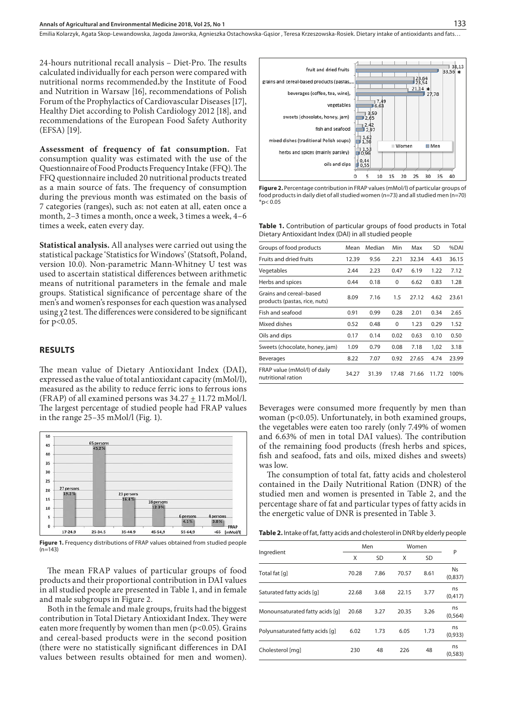24-hours nutritional recall analysis – Diet-Pro. The results calculated individually for each person were compared with nutritional norms recommended**.**by the Institute of Food and Nutrition in Warsaw [16], recommendations of Polish Forum of the Prophylactics of Cardiovascular Diseases [17], Healthy Diet according to Polish Cardiology 2012 [18], and recommendations of the European Food Safety Authority (EFSA) [19].

**Assessment of frequency of fat consumption.** Fat consumption quality was estimated with the use of the Questionnaire of Food Products Frequency Intake (FFQ). The FFQ questionnaire included 20 nutritional products treated as a main source of fats. The frequency of consumption during the previous month was estimated on the basis of 7 categories (ranges), such as: not eaten at all, eaten once a month, 2–3 times a month, once a week, 3 times a week, 4–6 times a week, eaten every day.

**Statistical analysis.** All analyses were carried out using the statistical package 'Statistics for Windows' (Statsoft, Poland, version 10.0). Non-parametric Mann-Whitney U test was used to ascertain statistical differences between arithmetic means of nutritional parameters in the female and male groups. Statistical significance of percentage share of the men's and women's responses for each question was analysed using *χ*2 test. The differences were considered to be significant for  $p < 0.05$ .

#### **RESULTS**

The mean value of Dietary Antioxidant Index (DAI), expressed as the value of total antioxidant capacity (mMol/l), measured as the ability to reduce ferric ions to ferrous ions (FRAP) of all examined persons was  $34.27 \pm 11.72$  mMol/l. The largest percentage of studied people had FRAP values in the range 25–35 mMol/l (Fig. 1).



**Figure 1.** Frequency distributions of FRAP values obtained from studied people  $(n=143)$ 

The mean FRAP values of particular groups of food products and their proportional contribution in DAI values in all studied people are presented in Table 1, and in female and male subgroups in Figure 2.

Both in the female and male groups, fruits had the biggest contribution in Total Dietary Antioxidant Index. They were eaten more frequently by women than men ( $p$ <0.05). Grains and cereal-based products were in the second position (there were no statistically significant differences in DAI values between results obtained for men and women).



**Figure 2.** Percentage contribution in FRAP values (mMol/l) of particular groups of food products in daily diet of all studied women (n=73) and all studied men (n=70)  $*p< 0.05$ 

**Table 1.** Contribution of particular groups of food products in Total Dietary Antioxidant Index (DAI) in all studied people

| Groups of food products                                  | Mean  | Median | Min      | Max   | <b>SD</b> | %DAI  |
|----------------------------------------------------------|-------|--------|----------|-------|-----------|-------|
| Fruits and dried fruits                                  | 12.39 | 9.56   | 2.21     | 32.34 | 4.43      | 36.15 |
| Vegetables                                               | 2.44  | 2.23   | 0.47     | 6.19  | 1.22      | 7.12  |
| Herbs and spices                                         | 0.44  | 0.18   | $\Omega$ | 6.62  | 0.83      | 1.28  |
| Grains and cereal-based<br>products (pastas, rice, nuts) | 8.09  | 7.16   | 1.5      | 27.12 | 4.62      | 23.61 |
| Fish and seafood                                         | 0.91  | 0.99   | 0.28     | 2.01  | 0.34      | 2.65  |
| Mixed dishes                                             | 0.52  | 0.48   | $\Omega$ | 1.23  | 0.29      | 1.52  |
| Oils and dips                                            | 0.17  | 0.14   | 0.02     | 0.63  | 0.10      | 0.50  |
| Sweets (chocolate, honey, jam)                           | 1.09  | 0.79   | 0.08     | 7.18  | 1,02      | 3.18  |
| <b>Beverages</b>                                         | 8.22  | 7.07   | 0.92     | 27.65 | 4.74      | 23.99 |
| FRAP value (mMol/l) of daily<br>nutritional ration       | 34.27 | 31.39  | 17.48    | 71.66 | 11.72     | 100%  |

Beverages were consumed more frequently by men than woman (p<0.05). Unfortunately, in both examined groups, the vegetables were eaten too rarely (only 7.49% of women and 6.63% of men in total DAI values). The contribution of the remaining food products (fresh herbs and spices, fish and seafood, fats and oils, mixed dishes and sweets) was low.

The consumption of total fat, fatty acids and cholesterol contained in the Daily Nutritional Ration (DNR) of the studied men and women is presented in Table 2, and the percentage share of fat and particular types of fatty acids in the energetic value of DNR is presented in Table 3.

**Table 2.** Intake of fat, fatty acids and cholesterol in DNR by elderly people

|                                 | Men   |           | Women |           |                      |
|---------------------------------|-------|-----------|-------|-----------|----------------------|
| Ingredient                      | X     | <b>SD</b> | X     | <b>SD</b> | P                    |
| Total fat [q]                   | 70.28 | 7.86      | 70.57 | 8.61      | <b>Ns</b><br>(0,837) |
| Saturated fatty acids [q]       | 22.68 | 3.68      | 22.15 | 3.77      | ns<br>(0, 417)       |
| Monounsaturated fatty acids [q] | 20.68 | 3.27      | 20.35 | 3.26      | ns<br>(0, 564)       |
| Polyunsaturated fatty acids [q] | 6.02  | 1.73      | 6.05  | 1.73      | ns<br>(0,933)        |
| Cholesterol [mq]                | 230   | 48        | 226   | 48        | ns<br>(0, 583)       |
|                                 |       |           |       |           |                      |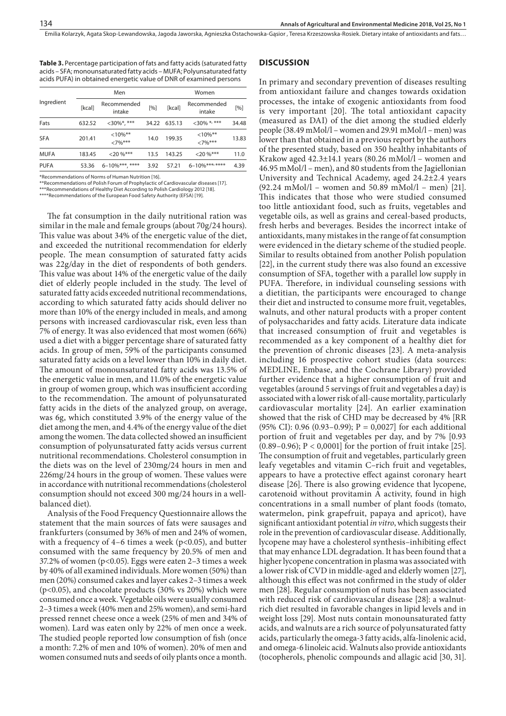**Table 3.** Percentage participation of fats and fatty acids (saturated fatty acids – SFA; monounsaturated fatty acids – MUFA; Polyunsaturated fatty acids PUFA) in obtained energetic value of DNR of examined persons

|             | Men    |                         |       | Women  |                         |       |  |
|-------------|--------|-------------------------|-------|--------|-------------------------|-------|--|
| Ingredient  | [kcal] | Recommended<br>intake   | [%]   | [kcal] | Recommended<br>intake   | [%]   |  |
| Fats        | 632.52 | $<30\%$ *, ***          | 34.22 | 635.13 | $<$ 30% *, ***          | 34.48 |  |
| <b>SFA</b>  | 201.41 | $<10\%$ **<br>$<7\%***$ | 14.0  | 199.35 | $<10\%$ **<br>$<7\%***$ | 13.83 |  |
| <b>MUFA</b> | 183.45 | $<20\%***$              | 13.5  | 143.25 | $< 20\%$ ***            | 11.0  |  |
| <b>PUFA</b> | 53.36  | $6 - 10\%$ ***, ****    | 3.92  | 57.21  | $6 - 10\%$ ***,****     | 4.39  |  |

\*Recommendations of Norms of Human Nutrition [16].

\*\*Recommendations of Polish Forum of Prophylactic of Cardiovascular diseases [17].

\*\*\*Recommendations of Healthy Diet According to Polish Cardiology 2012 [18]. \*\*\*\*Recommendations of the European Food Safety Authority (EFSA) [19].

The fat consumption in the daily nutritional ration was similar in the male and female groups (about 70g/24 hours). This value was about 34% of the energetic value of the diet, and exceeded the nutritional recommendation for elderly people. The mean consumption of saturated fatty acids was 22g/day in the diet of respondents of both genders. This value was about 14% of the energetic value of the daily diet of elderly people included in the study. The level of saturated fatty acids exceeded nutritional recommendations, according to which saturated fatty acids should deliver no more than 10% of the energy included in meals, and among persons with increased cardiovascular risk, even less than 7% of energy. It was also evidenced that most women (66%) used a diet with a bigger percentage share of saturated fatty acids. In group of men, 59% of the participants consumed saturated fatty acids on a level lower than 10% in daily diet. The amount of monounsaturated fatty acids was 13.5% of the energetic value in men, and 11.0% of the energetic value in group of women group, which was insufficient according to the recommendation. The amount of polyunsaturated fatty acids in the diets of the analyzed group, on average, was 6g, which constituted 3.9% of the energy value of the diet among the men, and 4.4% of the energy value of the diet among the women. The data collected showed an insufficient consumption of polyunsaturated fatty acids versus current nutritional recommendations. Cholesterol consumption in the diets was on the level of 230mg/24 hours in men and 226mg/24 hours in the group of women. These values were in accordance with nutritional recommendations (cholesterol consumption should not exceed 300 mg/24 hours in a wellbalanced diet).

Analysis of the Food Frequency Questionnaire allows the statement that the main sources of fats were sausages and frankfurters (consumed by 36% of men and 24% of women, with a frequency of 4–6 times a week ( $p$ <0.05), and butter consumed with the same frequency by 20.5% of men and 37.2% of women (p<0.05). Eggs were eaten 2–3 times a week by 40% of all examined individuals. More women (50%) than men (20%) consumed cakes and layer cakes 2–3 times a week (p<0.05), and chocolate products (30% vs 20%) which were consumed once a week. Vegetable oils were usually consumed 2–3 times a week (40% men and 25% women), and semi-hard pressed rennet cheese once a week (25% of men and 34% of women). Lard was eaten only by 22% of men once a week. The studied people reported low consumption of fish (once a month: 7.2% of men and 10% of women). 20% of men and women consumed nuts and seeds of oily plants once a month.

## **DISCUSSION**

In primary and secondary prevention of diseases resulting from antioxidant failure and changes towards oxidation processes, the intake of exogenic antioxidants from food is very important [20]. The total antioxidant capacity (measured as DAI) of the diet among the studied elderly people (38.49 mMol/l – women and 29.91 mMol/l – men) was lower than that obtained in a previous report by the authors of the presented study, based on 350 healthy inhabitants of Krakow aged  $42.3 \pm 14.1$  years (80.26 mMol/l – women and 46.95 mMol/l – men), and 80 students from the Jagiellonian University and Technical Academy, aged 24.2±2.4 years  $(92.24 \text{ mMol/l} - \text{ women and } 50.89 \text{ mMol/l} - \text{men})$  [21]. This indicates that those who were studied consumed too little antioxidant food, such as fruits, vegetables and vegetable oils, as well as grains and cereal-based products, fresh herbs and beverages. Besides the incorrect intake of antioxidants, many mistakes in the range of fat consumption were evidenced in the dietary scheme of the studied people. Similar to results obtained from another Polish population [22], in the current study there was also found an excessive consumption of SFA, together with a parallel low supply in PUFA. Therefore, in individual counseling sessions with a dietitian, the participants were encouraged to change their diet and instructed to consume more fruit, vegetables, walnuts, and other natural products with a proper content of polysaccharides and fatty acids. Literature data indicate that increased consumption of fruit and vegetables is recommended as a key component of a healthy diet for the prevention of chronic diseases [23]. A meta-analysis including 16 prospective cohort studies (data sources: MEDLINE, Embase, and the Cochrane Library) provided further evidence that a higher consumption of fruit and vegetables (around 5 servings of fruit and vegetables a day) is associated with a lower risk of all-cause mortality, particularly cardiovascular mortality [24]. An earlier examination showed that the risk of CHD may be decreased by 4% [RR (95% CI): 0.96 (0.93–0.99);  $P = 0.0027$  for each additional portion of fruit and vegetables per day, and by 7% [0.93 (0.89–0.96); P < 0,0001] for the portion of fruit intake [25]. The consumption of fruit and vegetables, particularly green leafy vegetables and vitamin C–rich fruit and vegetables, appears to have a protective effect against coronary heart disease [26]. There is also growing evidence that lycopene, carotenoid without provitamin A activity, found in high concentrations in a small number of plant foods (tomato, watermelon, pink grapefruit, papaya and apricot), have significant antioxidant potential *in vitro*, which suggests their role in the prevention of cardiovascular disease. Additionally, lycopene may have a cholesterol synthesis–inhibiting effect that may enhance LDL degradation. It has been found that a higher lycopene concentration in plasma was associated with a lower risk of CVD in middle-aged and elderly women [27], although this effect was not confirmed in the study of older men [28]. Regular consumption of nuts has been associated with reduced risk of cardiovascular disease [28]: a walnutrich diet resulted in favorable changes in lipid levels and in weight loss [29]. Most nuts contain monounsaturated fatty acids, and walnuts are a rich source of polyunsaturated fatty acids, particularly the omega-3 fatty acids, alfa-linolenic acid, and omega-6 linoleic acid. Walnuts also provide antioxidants (tocopherols, phenolic compounds and allagic acid [30, 31].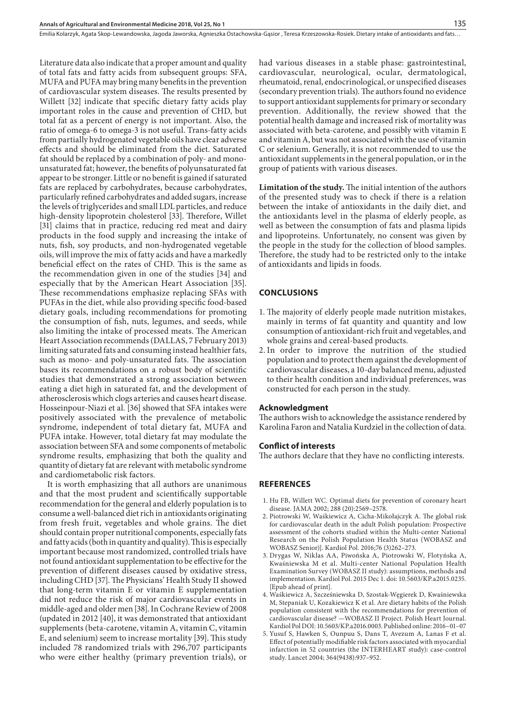Literature data also indicate that a proper amount and quality of total fats and fatty acids from subsequent groups: SFA, MUFA and PUFA may bring many benefits in the prevention of cardiovascular system diseases. The results presented by Willett [32] indicate that specific dietary fatty acids play important roles in the cause and prevention of CHD, but total fat as a percent of energy is not important. Also, the ratio of omega-6 to omega-3 is not useful. Trans-fatty acids from partially hydrogenated vegetable oils have clear adverse effects and should be eliminated from the diet. Saturated fat should be replaced by a combination of poly- and monounsaturated fat; however, the benefits of polyunsaturated fat appear to be stronger. Little or no benefit is gained if saturated fats are replaced by carbohydrates, because carbohydrates, particularly refined carbohydrates and added sugars, increase the levels of triglycerides and small LDL particles, and reduce high-density lipoprotein cholesterol [33]. Therefore, Willet [31] claims that in practice, reducing red meat and dairy products in the food supply and increasing the intake of nuts, fish, soy products, and non-hydrogenated vegetable oils, will improve the mix of fatty acids and have a markedly beneficial effect on the rates of CHD. This is the same as the recommendation given in one of the studies [34] and especially that by the American Heart Association [35]. These recommendations emphasize replacing SFAs with PUFAs in the diet, while also providing specific food-based dietary goals, including recommendations for promoting the consumption of fish, nuts, legumes, and seeds, while also limiting the intake of processed meats. The American Heart Association recommends (DALLAS, 7 February 2013) limiting saturated fats and consuming instead healthier fats, such as mono- and poly-unsaturated fats. The association bases its recommendations on a robust body of scientific studies that demonstrated a strong association between eating a diet high in saturated fat, and the development of atherosclerosis which clogs arteries and causes heart disease. Hosseinpour-Niazi et al. [36] showed that SFA intakes were positively associated with the prevalence of metabolic syndrome, independent of total dietary fat, MUFA and PUFA intake. However, total dietary fat may modulate the association between SFA and some components of metabolic syndrome results, emphasizing that both the quality and quantity of dietary fat are relevant with metabolic syndrome and cardiometabolic risk factors.

It is worth emphasizing that all authors are unanimous and that the most prudent and scientifically supportable recommendation for the general and elderly population is to consume a well-balanced diet rich in antioxidants originating from fresh fruit, vegetables and whole grains. The diet should contain proper nutritional components, especially fats and fatty acids (both in quantity and quality). This is especially important because most randomized, controlled trials have not found antioxidant supplementation to be effective forthe prevention of different diseases caused by oxidative stress, including CHD [37]. The Physicians' Health Study II showed that long-term vitamin E or vitamin E supplementation did not reduce the risk of major cardiovascular events in middle-aged and older men [38]. In Cochrane Review of 2008 (updated in 2012 [40], it was demonstrated that antioxidant supplements (beta-carotene, vitamin A, vitamin C, vitamin E, and selenium) seem to increase mortality [39]. This study included 78 randomized trials with 296,707 [participants](http://participants.the/) [who were](http://participants.the/) either healthy (primary prevention trials), or

had various diseases in a stable phase: gastrointestinal, cardiovascular, neurological, ocular, dermatological, rheumatoid, renal, endocrinological, or unspecified diseases (secondary prevention trials). The authors found no evidence to support antioxidant supplements for primary or secondary prevention. Additionally, the review showed that the potential health damage and increased risk of mortality was associated with beta-carotene, and possibly with vitamin E and vitamin A, but was not associated with the use of vitamin C or selenium. Generally, it is not recommended to use the antioxidant supplements in the general population, or in the group of patients with various diseases.

**Limitation of the study.** The initial intention of the authors of the presented study was to check if there is a relation between the intake of antioxidants in the daily diet, and the antioxidants level in the plasma of elderly people, as well as between the consumption of fats and plasma lipids and lipoproteins. Unfortunately, no consent was given by the people in the study for the collection of blood samples. Therefore, the study had to be restricted only to the intake of antioxidants and lipids in foods.

## **CONCLUSIONS**

- 1. The majority of elderly people made nutrition mistakes, mainly in terms of fat quantity and quantity and low consumption of antioxidant-rich fruit and vegetables, and whole grains and cereal-based products.
- 2.In order to improve the nutrition of the studied population and to protect them against the development of cardiovascular diseases, a 10-day balanced menu, adjusted to their health condition and individual preferences, was constructed for each person in the study.

### **Acknowledgment**

The authors wish to acknowledge the assistance rendered by Karolina Faron and Natalia Kurdziel in the collection of data.

#### **Conflict of interests**

The authors declare that they have no conflicting interests.

## **REFERENCES**

- 1. [Hu FB,](http://www.ncbi.nlm.nih.gov/pubmed/?term=Hu FB%5BAuthor%5D&cauthor=true&cauthor_uid=12444864) [Willett WC.](http://www.ncbi.nlm.nih.gov/pubmed/?term=Willett WC%5BAuthor%5D&cauthor=true&cauthor_uid=12444864) Optimal diets for prevention of coronary heart disease. [JAMA](http://www.ncbi.nlm.nih.gov/pubmed/12444864) 2002; 288 (20):2569–2578.
- 2. [Piotrowski W](http://www.ncbi.nlm.nih.gov/pubmed/?term=Piotrowski W%5BAuthor%5D&cauthor=true&cauthor_uid=26365939), [Waśkiewicz A,](http://www.ncbi.nlm.nih.gov/pubmed/?term=Wa�kiewicz A%5BAuthor%5D&cauthor=true&cauthor_uid=26365939) [Cicha-Mikołajczyk A.](http://www.ncbi.nlm.nih.gov/pubmed/?term=Cicha-Miko�ajczyk A%5BAuthor%5D&cauthor=true&cauthor_uid=26365939) The global risk for cardiovascular death in the adult Polish population: Prospective assessment of the cohorts studied within the Multi-center National Research on the Polish Population Health Status (WOBASZ and WOBASZ Senior)]. [Kardiol Pol](http://www.ncbi.nlm.nih.gov/pubmed/26365939). 2016;76 (3)262–273.
- 3. [Drygas W,](http://www.ncbi.nlm.nih.gov/pubmed/?term=Drygas W%5BAuthor%5D&cauthor=true&cauthor_uid=26620680) [Niklas AA,](http://www.ncbi.nlm.nih.gov/pubmed/?term=Niklas AA%5BAuthor%5D&cauthor=true&cauthor_uid=26620680) [Piwońska A,](http://www.ncbi.nlm.nih.gov/pubmed/?term=Piwo�ska A%5BAuthor%5D&cauthor=true&cauthor_uid=26620680) [Piotrowski W](http://www.ncbi.nlm.nih.gov/pubmed/?term=Piotrowski W%5BAuthor%5D&cauthor=true&cauthor_uid=26620680), [Flotyńska A,](http://www.ncbi.nlm.nih.gov/pubmed/?term=Floty�ska A%5BAuthor%5D&cauthor=true&cauthor_uid=26620680) [Kwaśniewska M](http://www.ncbi.nlm.nih.gov/pubmed/?term=Kwa�niewska M%5BAuthor%5D&cauthor=true&cauthor_uid=26620680) et al. Multi-center National Population Health Examination Survey (WOBASZ II study): assumptions, methods and implementation. [Kardiol Pol.](http://www.ncbi.nlm.nih.gov/pubmed/26620680) 2015 Dec 1. doi: 10.5603/KP.a2015.0235. [Epub ahead of print].
- 4. Waśkiewicz A, Szcześniewska D, Szostak-Węgierek D, Kwaśniewska M, Stepaniak U, Kozakiewicz K et al. Are dietary habits of the Polish population consistent with the recommendations for prevention of cardiovascular disease? —WOBASZ II Project. Polish Heart Journal. Kardiol Pol DOI: 10.5603/KP.a2016.0003. Published online: 2016–01–07
- 5. [Yusuf S,](http://www.ncbi.nlm.nih.gov/pubmed/?term=Yusuf S%5BAuthor%5D&cauthor=true&cauthor_uid=15364185) [Hawken S,](http://www.ncbi.nlm.nih.gov/pubmed/?term=Hawken S%5BAuthor%5D&cauthor=true&cauthor_uid=15364185) [Ounpuu S,](http://www.ncbi.nlm.nih.gov/pubmed/?term=Ounpuu S%5BAuthor%5D&cauthor=true&cauthor_uid=15364185) [Dans T,](http://www.ncbi.nlm.nih.gov/pubmed/?term=Dans T%5BAuthor%5D&cauthor=true&cauthor_uid=15364185) [Avezum A,](http://www.ncbi.nlm.nih.gov/pubmed/?term=Avezum A%5BAuthor%5D&cauthor=true&cauthor_uid=15364185) [Lanas F](http://www.ncbi.nlm.nih.gov/pubmed/?term=Lanas F%5BAuthor%5D&cauthor=true&cauthor_uid=15364185) et al. Effect of potentially modifiable risk factors associated with myocardial infarction in 52 countries (the INTERHEART study): case-control study. [Lancet](http://www.ncbi.nlm.nih.gov/pubmed/15364185) 2004; 364(9438):937–952.